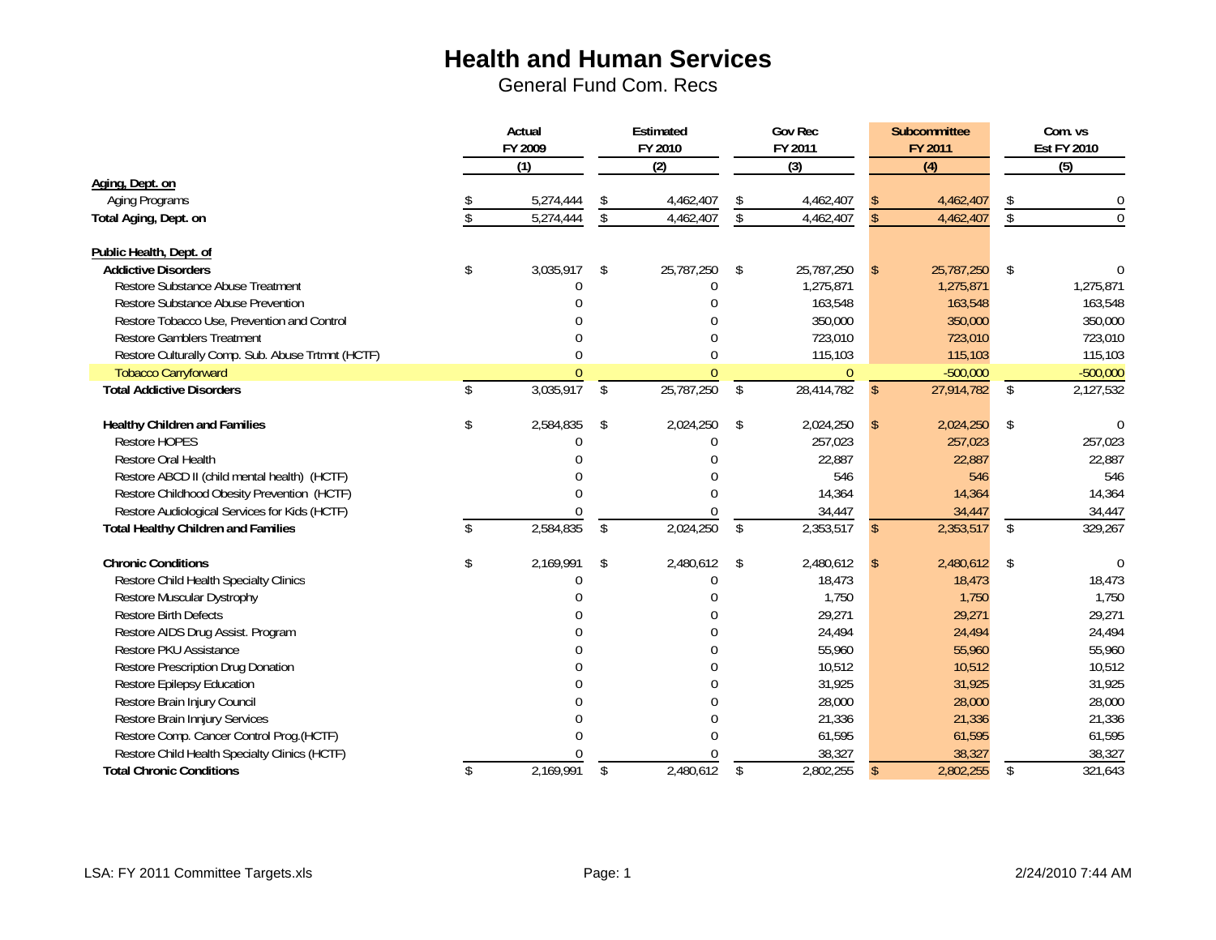|                                                   | Actual<br>FY 2009 |                         | Estimated<br>FY 2010 | <b>Gov Rec</b><br>FY 2011 |                | Subcommittee<br>FY 2011 |            |              | Com. vs<br><b>Est FY 2010</b> |
|---------------------------------------------------|-------------------|-------------------------|----------------------|---------------------------|----------------|-------------------------|------------|--------------|-------------------------------|
|                                                   | $\overline{(1)}$  |                         | $\overline{(2)}$     |                           | (3)            |                         | (4)        |              | $\overline{(5)}$              |
| Aging, Dept. on                                   |                   |                         |                      |                           |                |                         |            |              |                               |
| Aging Programs                                    | 5,274,444         | \$                      | 4,462,407            |                           | 4,462,407      |                         | 4,462,407  | \$           | $\overline{0}$                |
| Total Aging, Dept. on                             | 5,274,444         | $\overline{\mathsf{s}}$ | 4,462,407            | \$                        | 4,462,407      |                         | 4,462,407  | $\sqrt[6]{}$ | $\overline{0}$                |
| Public Health, Dept. of                           |                   |                         |                      |                           |                |                         |            |              |                               |
| <b>Addictive Disorders</b>                        | \$<br>3,035,917   | \$                      | 25,787,250           | \$                        | 25,787,250     | <sup>\$</sup>           | 25,787,250 | \$           | $\Omega$                      |
| Restore Substance Abuse Treatment                 |                   |                         | $\Omega$             |                           | 1,275,871      |                         | 1,275,871  |              | 1,275,871                     |
| Restore Substance Abuse Prevention                |                   |                         |                      |                           | 163,548        |                         | 163,548    |              | 163,548                       |
| Restore Tobacco Use, Prevention and Control       |                   |                         |                      |                           | 350,000        |                         | 350,000    |              | 350,000                       |
| <b>Restore Gamblers Treatment</b>                 |                   |                         |                      |                           | 723,010        |                         | 723,010    |              | 723,010                       |
| Restore Culturally Comp. Sub. Abuse Trtmnt (HCTF) | $\Omega$          |                         | $\Omega$             |                           | 115,103        |                         | 115,103    |              | 115,103                       |
| <b>Tobacco Carryforward</b>                       | $\Omega$          |                         | $\Omega$             |                           | $\overline{0}$ |                         | $-500,000$ |              | $-500,000$                    |
| <b>Total Addictive Disorders</b>                  | \$<br>3,035,917   | $\sqrt[6]{\frac{1}{2}}$ | 25,787,250           | \$                        | 28,414,782     | $\mathcal{S}$           | 27,914,782 | $\sqrt{2}$   | 2,127,532                     |
| Healthy Children and Families                     | \$<br>2,584,835   | \$                      | 2,024,250            | \$                        | 2,024,250      | \$                      | 2,024,250  | \$           | $\Omega$                      |
| <b>Restore HOPES</b>                              | N                 |                         | $\Omega$             |                           | 257,023        |                         | 257,023    |              | 257,023                       |
| <b>Restore Oral Health</b>                        |                   |                         | በ                    |                           | 22,887         |                         | 22,887     |              | 22,887                        |
| Restore ABCD II (child mental health) (HCTF)      | U                 |                         | 0                    |                           | 546            |                         | 546        |              | 546                           |
| Restore Childhood Obesity Prevention (HCTF)       | U                 |                         | 0                    |                           | 14,364         |                         | 14,364     |              | 14,364                        |
| Restore Audiological Services for Kids (HCTF)     |                   |                         |                      |                           | 34,447         |                         | 34,447     |              | 34,447                        |
| <b>Total Healthy Children and Families</b>        | \$<br>2,584,835   | $\mathbf{\hat{S}}$      | 2,024,250            | $\mathcal{S}$             | 2,353,517      | $\mathcal{S}$           | 2,353,517  | $\mathbb{S}$ | 329,267                       |
| <b>Chronic Conditions</b>                         | \$<br>2,169,991   | \$                      | 2,480,612            | -\$                       | 2,480,612      | <sup>\$</sup>           | 2,480,612  | \$           | $\Omega$                      |
| Restore Child Health Specialty Clinics            | U                 |                         | 0                    |                           | 18,473         |                         | 18,473     |              | 18,473                        |
| Restore Muscular Dystrophy                        | N                 |                         | 0                    |                           | 1,750          |                         | 1,750      |              | 1,750                         |
| <b>Restore Birth Defects</b>                      |                   |                         | 0                    |                           | 29,271         |                         | 29,271     |              | 29,271                        |
| Restore AIDS Drug Assist. Program                 |                   |                         | 0                    |                           | 24,494         |                         | 24,494     |              | 24,494                        |
| Restore PKU Assistance                            |                   |                         | 0                    |                           | 55,960         |                         | 55,960     |              | 55,960                        |
| Restore Prescription Drug Donation                |                   |                         | 0                    |                           | 10,512         |                         | 10,512     |              | 10,512                        |
| Restore Epilepsy Education                        |                   |                         | 0                    |                           | 31,925         |                         | 31,925     |              | 31,925                        |
| Restore Brain Injury Council                      |                   |                         | 0                    |                           | 28,000         |                         | 28,000     |              | 28,000                        |
| Restore Brain Innjury Services                    |                   |                         | 0                    |                           | 21,336         |                         | 21,336     |              | 21,336                        |
| Restore Comp. Cancer Control Prog.(HCTF)          |                   |                         | 0                    |                           | 61,595         |                         | 61,595     |              | 61,595                        |
| Restore Child Health Specialty Clinics (HCTF)     |                   |                         |                      |                           | 38,327         |                         | 38,327     |              | 38,327                        |
| <b>Total Chronic Conditions</b>                   | \$<br>2,169,991   | \$                      | 2,480,612            | \$                        | 2,802,255      | <sup>\$</sup>           | 2,802,255  | s.           | 321,643                       |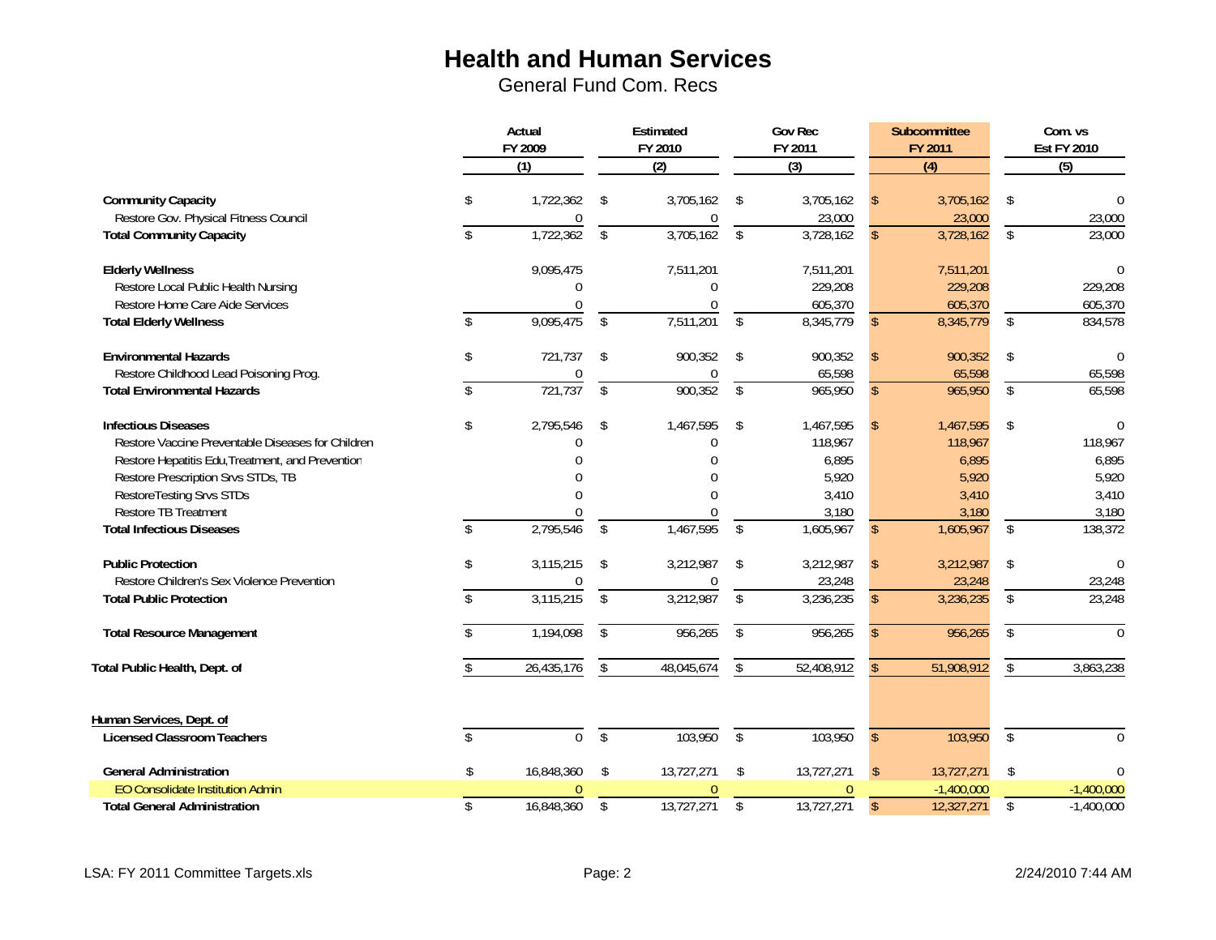|                                                                |               | Actual<br>FY 2009<br>$\overline{(1)}$ |                | Estimated<br>FY 2010<br>$\overline{(2)}$ |                    | <b>Gov Rec</b><br>FY 2011<br>$\overline{3}$ |               | Subcommittee<br>FY 2011<br>(4) | Com. vs<br><b>Est FY 2010</b><br>(5) |
|----------------------------------------------------------------|---------------|---------------------------------------|----------------|------------------------------------------|--------------------|---------------------------------------------|---------------|--------------------------------|--------------------------------------|
| <b>Community Capacity</b>                                      | \$            | 1,722,362                             | Ŝ.             | 3,705,162                                | Ŝ.                 | 3,705,162                                   |               | 3,705,162                      | \$<br>$\Omega$                       |
| Restore Gov. Physical Fitness Council                          |               | 0                                     |                | $\Omega$                                 |                    | 23,000                                      |               | 23,000                         | 23,000                               |
| <b>Total Community Capacity</b>                                | \$            | 1,722,362                             | $\mathfrak{L}$ | 3,705,162                                | $\mathbb{S}$       | 3,728,162                                   |               | 3,728,162                      | \$<br>23,000                         |
| <b>Elderly Wellness</b>                                        |               | 9,095,475                             |                | 7,511,201                                |                    | 7,511,201                                   |               | 7,511,201                      | $\Omega$                             |
| Restore Local Public Health Nursing                            |               | U                                     |                |                                          |                    | 229,208                                     |               | 229,208                        | 229,208                              |
| Restore Home Care Aide Services                                |               | $\Omega$                              |                |                                          |                    | 605,370                                     |               | 605,370                        | 605,370                              |
| <b>Total Elderly Wellness</b>                                  | $\mathcal{S}$ | 9,095,475                             | $\mathcal{S}$  | 7,511,201                                | $\mathcal{S}$      | 8,345,779                                   | <sup>\$</sup> | 8,345,779                      | \$<br>834,578                        |
| <b>Environmental Hazards</b>                                   | \$            | 721,737                               | Ŝ.             | 900,352                                  | -\$                | 900,352                                     |               | 900,352                        | \$<br>$\Omega$                       |
| Restore Childhood Lead Poisoning Prog.                         |               | 0                                     |                | 0                                        |                    | 65,598                                      |               | 65,598                         | 65,598                               |
| <b>Total Environmental Hazards</b>                             | \$            | 721,737                               | $\mathfrak{L}$ | 900,352                                  | $\mathbb{S}$       | 965,950                                     | $\mathcal{S}$ | 965,950                        | \$<br>65,598                         |
| <b>Infectious Diseases</b>                                     | \$            | 2,795,546                             | \$             | 1,467,595                                | \$                 | 1,467,595                                   |               | 1,467,595                      | \$<br>$\Omega$                       |
| Restore Vaccine Preventable Diseases for Children              |               |                                       |                |                                          |                    | 118,967                                     |               | 118,967                        | 118,967                              |
| Restore Hepatitis Edu, Treatment, and Prevention               |               |                                       |                |                                          |                    | 6,895                                       |               | 6,895                          | 6,895                                |
| Restore Prescription Srvs STDs, TB                             |               |                                       |                |                                          |                    | 5,920                                       |               | 5,920                          | 5,920                                |
| RestoreTesting Srvs STDs                                       |               |                                       |                |                                          |                    | 3,410                                       |               | 3,410                          | 3,410                                |
| <b>Restore TB Treatment</b>                                    |               |                                       |                |                                          |                    | 3,180                                       |               | 3,180                          | 3,180                                |
| <b>Total Infectious Diseases</b>                               | $\mathsf{\$}$ | 2,795,546                             | $\mathfrak{L}$ | 1,467,595                                | $\mathbb{S}$       | 1,605,967                                   | $\mathcal{S}$ | 1,605,967                      | \$<br>138,372                        |
| <b>Public Protection</b>                                       | \$            | 3,115,215                             | \$             | 3,212,987                                | Ŝ.                 | 3,212,987                                   |               | 3,212,987                      | \$<br>$\Omega$                       |
| Restore Children's Sex Violence Prevention                     |               |                                       |                |                                          |                    | 23,248                                      |               | 23,248                         | 23,248                               |
| <b>Total Public Protection</b>                                 | \$            | 3,115,215                             | \$             | 3,212,987                                | $\mathsf{\$}$      | 3,236,235                                   |               | 3,236,235                      | \$<br>23,248                         |
| <b>Total Resource Management</b>                               | \$            | 1,194,098                             | $\mathcal{S}$  | 956,265                                  | $\mathfrak{L}$     | 956,265                                     | S.            | 956,265                        | \$<br>$\Omega$                       |
| Total Public Health, Dept. of                                  |               | 26,435,176                            |                | 48,045,674                               | Ŝ.                 | 52,408,912                                  |               | 51,908,912                     | \$<br>3,863,238                      |
| Human Services, Dept. of<br><b>Licensed Classroom Teachers</b> |               | $\overline{0}$                        | $\sqrt{2}$     | 103,950                                  | $\mathbf{\hat{S}}$ | 103,950                                     | $\mathcal{S}$ | 103,950                        | \$<br>$\Omega$                       |
|                                                                |               |                                       |                |                                          |                    |                                             |               |                                |                                      |
| <b>General Administration</b>                                  | \$            | 16,848,360                            | \$             | 13,727,271                               | \$                 | 13,727,271                                  | <sup>\$</sup> | 13,727,271                     | \$                                   |
| EO Consolidate Institution Admin                               |               |                                       |                |                                          |                    |                                             |               | $-1,400,000$                   | $-1,400,000$                         |
| <b>Total General Administration</b>                            | \$            | 16,848,360                            | \$             | 13,727,271                               | \$                 | 13,727,271                                  | $\mathsf{\$}$ | 12,327,271                     | \$<br>$-1,400,000$                   |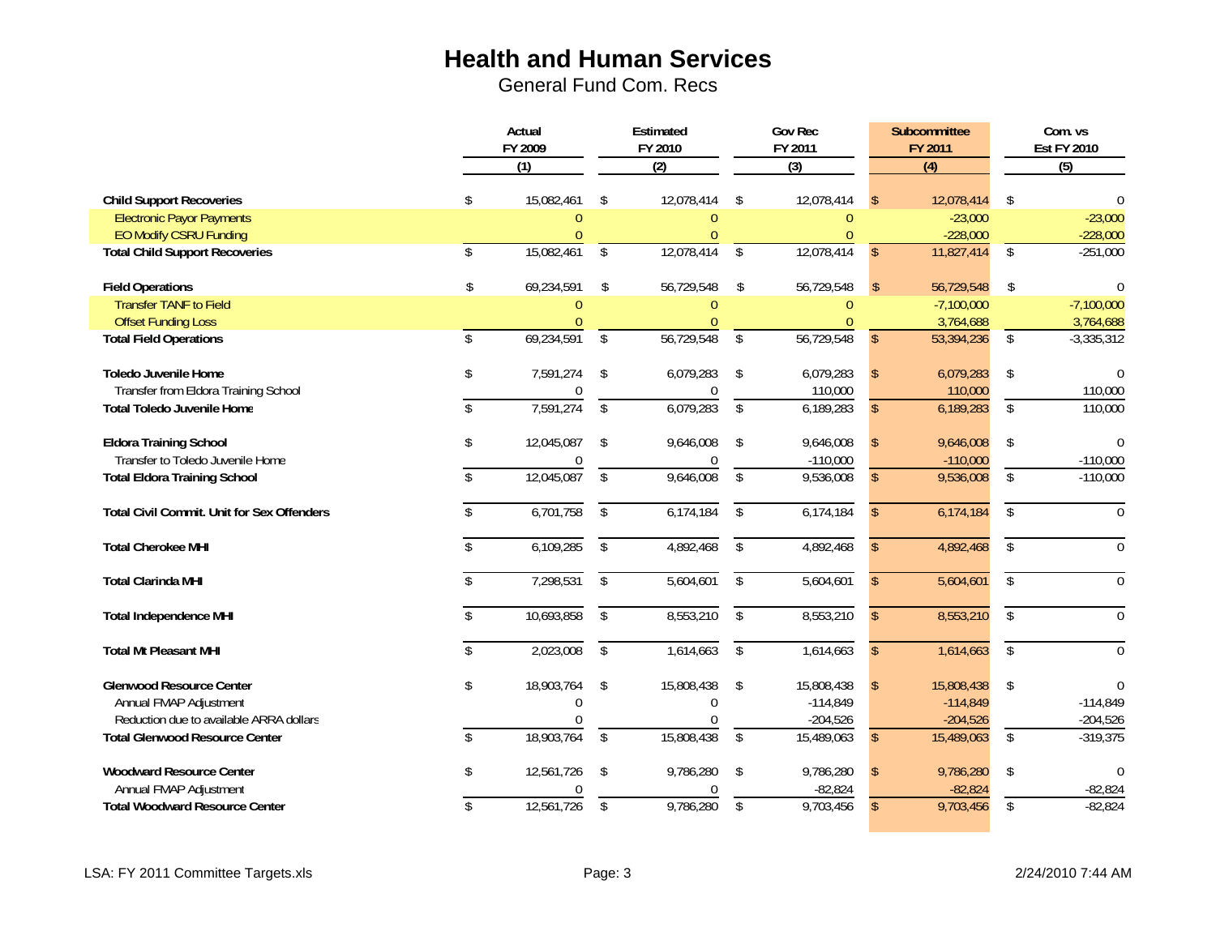|                                                   | Actual       |                  | Estimated               |                | <b>Gov Rec</b>          |                |               | Subcommittee     |              | Com. vs            |
|---------------------------------------------------|--------------|------------------|-------------------------|----------------|-------------------------|----------------|---------------|------------------|--------------|--------------------|
|                                                   |              | FY 2009          |                         | FY 2010        |                         | FY 2011        |               | FY 2011          |              | <b>Est FY 2010</b> |
|                                                   |              | $\overline{(1)}$ |                         | (2)            |                         | $\overline{3}$ |               | $\overline{(4)}$ |              | (5)                |
| <b>Child Support Recoveries</b>                   | S.           | 15,082,461       | Ŝ.                      | 12,078,414     | \$                      | 12,078,414     |               | 12,078,414       | \$           |                    |
| <b>Electronic Payor Payments</b>                  |              | $\Omega$         |                         | $\theta$       |                         | $\mathbf{0}$   |               | $-23,000$        |              | $-23,000$          |
| EO Modify CSRU Funding                            |              |                  |                         | $\Omega$       |                         | $\Omega$       |               | $-228,000$       |              | $-228,000$         |
| <b>Total Child Support Recoveries</b>             | \$           | 15,082,461       | $\mathfrak{L}$          | 12,078,414     | $\mathcal{S}$           | 12,078,414     | $\mathsf{\$}$ | 11,827,414       | \$           | $-251,000$         |
| <b>Field Operations</b>                           | \$           | 69,234,591       | -\$                     | 56,729,548     | Ŝ.                      | 56,729,548     | $\mathcal{S}$ | 56,729,548       | \$           | $\Omega$           |
| <b>Transfer TANF to Field</b>                     |              |                  |                         | $\bigcap$      |                         | $\theta$       |               | $-7,100,000$     |              | $-7,100,000$       |
| <b>Offset Funding Loss</b>                        |              |                  |                         | $\theta$       |                         | $\theta$       |               | 3,764,688        |              | 3,764,688          |
| <b>Total Field Operations</b>                     | $\mathbb{S}$ | 69,234,591       | $\sqrt[6]{2}$           | 56,729,548     | $\mathbf{\hat{S}}$      | 56,729,548     | $\mathsf{\$}$ | 53,394,236       | \$           | $-3,335,312$       |
| <b>Toledo Juvenile Home</b>                       | \$           | 7,591,274        | \$                      | 6,079,283      | \$                      | 6,079,283      | $\mathsf{\$}$ | 6,079,283        | \$           | $\Omega$           |
| Transfer from Eldora Training School              |              | $\bf{0}$         |                         | $\overline{0}$ |                         | 110,000        |               | 110,000          |              | 110,000            |
| <b>Total Toledo Juvenile Home</b>                 |              | 7,591,274        | $\sqrt[6]{\frac{1}{2}}$ | 6,079,283      | $\sqrt[6]{\frac{1}{2}}$ | 6,189,283      | $\mathbb{S}$  | 6,189,283        | \$           | 110,000            |
| <b>Eldora Training School</b>                     | \$           | 12,045,087       | $\mathsf{\$}$           | 9,646,008      | \$                      | 9,646,008      |               | 9,646,008        | \$           |                    |
| Transfer to Toledo Juvenile Home                  |              |                  |                         | $\Omega$       |                         | $-110,000$     |               | $-110,000$       |              | $-110,000$         |
| <b>Total Eldora Training School</b>               |              | 12,045,087       | \$                      | 9,646,008      | \$                      | 9,536,008      | \$            | 9,536,008        | \$           | $-110,000$         |
| <b>Total Civil Commit. Unit for Sex Offenders</b> |              | 6,701,758        | \$                      | 6,174,184      | \$                      | 6,174,184      |               | 6,174,184        | \$           | $\theta$           |
| <b>Total Cherokee MHI</b>                         |              | 6,109,285        | \$                      | 4,892,468      | $\mathcal{S}$           | 4,892,468      |               | 4,892,468        | $\mathbb{S}$ | $\Omega$           |
| <b>Total Clarinda MHI</b>                         |              | 7,298,531        | \$                      | 5,604,601      | \$                      | 5,604,601      |               | 5,604,601        | \$           | $\Omega$           |
| <b>Total Independence MHI</b>                     |              | 10,693,858       | \$                      | 8,553,210      | \$                      | 8,553,210      | $\mathcal{S}$ | 8,553,210        | \$           | $\Omega$           |
| <b>Total Mt Pleasant MHI</b>                      |              | 2,023,008        | $\sqrt[6]{\frac{1}{2}}$ | 1,614,663      | $\sqrt{2}$              | 1,614,663      | $\mathbb{S}$  | 1,614,663        | $\$\,$       | $\overline{0}$     |
| <b>Glenwood Resource Center</b>                   | \$           | 18,903,764       | \$                      | 15,808,438     | \$                      | 15,808,438     |               | 15,808,438       | \$           | 0                  |
| Annual FMAP Adjustment                            |              |                  |                         | $\Omega$       |                         | $-114,849$     |               | $-114,849$       |              | $-114,849$         |
| Reduction due to available ARRA dollars           |              |                  |                         |                |                         | $-204,526$     |               | $-204,526$       |              | $-204,526$         |
| <b>Total Glenwood Resource Center</b>             |              | 18,903,764       | $\sqrt[6]{\frac{1}{2}}$ | 15,808,438     | $\sqrt[6]{\frac{1}{2}}$ | 15,489,063     | $\mathbb{S}$  | 15,489,063       | \$           | $-319,375$         |
| <b>Woodward Resource Center</b>                   | \$           | 12,561,726       | \$                      | 9,786,280      | \$                      | 9,786,280      |               | 9,786,280        | \$           | $\Omega$           |
| Annual FMAP Adjustment                            |              |                  |                         | $\Omega$       |                         | $-82,824$      |               | $-82,824$        |              | $-82,824$          |
| <b>Total Woodward Resource Center</b>             | \$           | 12,561,726       | \$                      | 9,786,280      | $\overline{\$}$         | 9,703,456      | $\mathsf{\$}$ | 9,703,456        | \$           | $-82,824$          |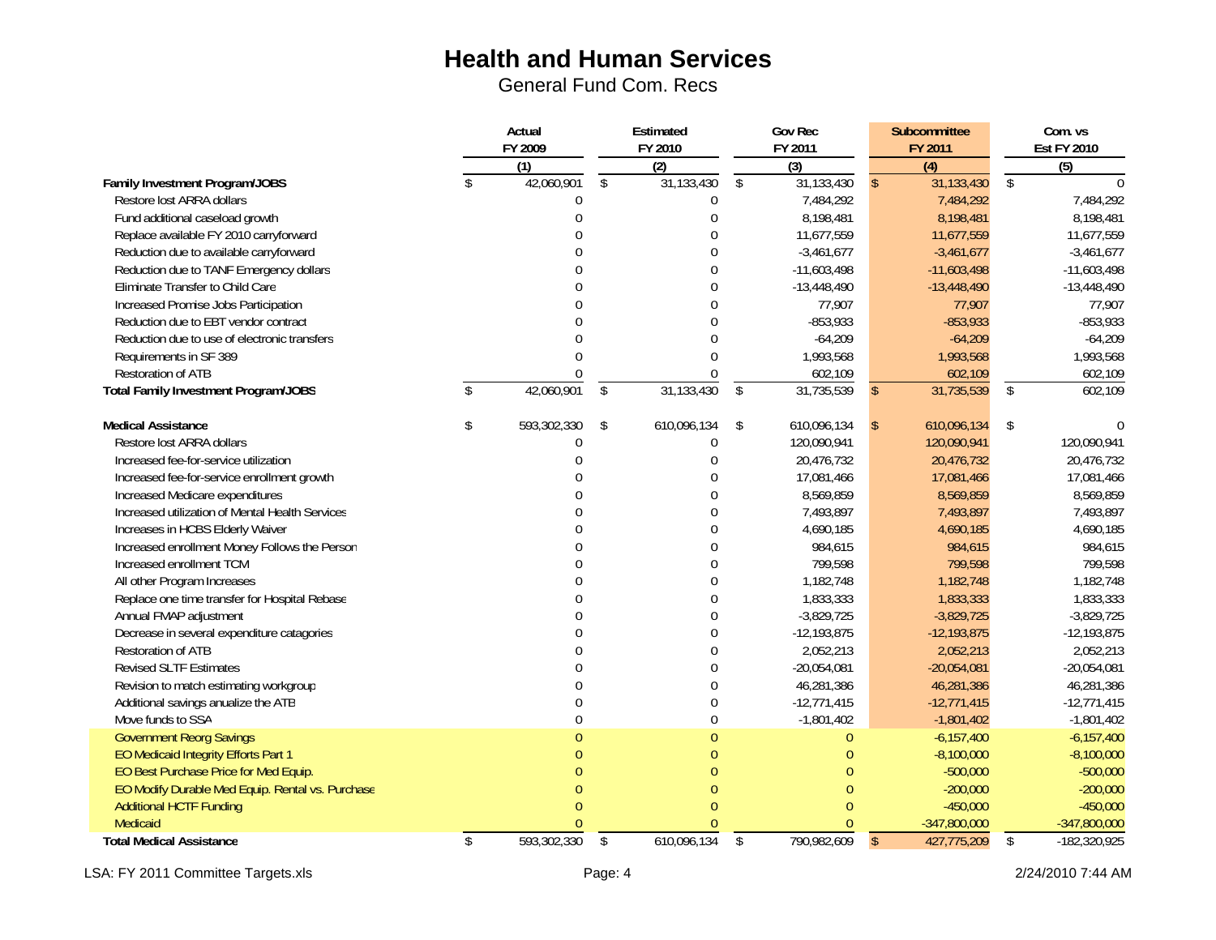General Fund Com. Recs

|                                                  | Actual            |              | Estimated      |              | <b>Gov Rec</b> |               | <b>Subcommittee</b> |              | Com. vs            |
|--------------------------------------------------|-------------------|--------------|----------------|--------------|----------------|---------------|---------------------|--------------|--------------------|
|                                                  | FY 2009           |              | FY 2010        |              | FY 2011        |               | FY 2011             |              | <b>Est FY 2010</b> |
|                                                  | (1)               |              | (2)            |              | (3)            |               | $\overline{(4)}$    |              | (5)                |
| Family Investment Program/JOBS                   | 42,060,901        | $\mathbb{S}$ | 31,133,430     | $\mathbb{S}$ | 31,133,430     | $\mathcal{S}$ | 31,133,430          | $\mathbb{S}$ | $\cap$             |
| Restore lost ARRA dollars                        |                   |              | $\mathbf{0}$   |              | 7,484,292      |               | 7,484,292           |              | 7,484,292          |
| Fund additional caseload growth                  | $\Omega$          |              | $\overline{0}$ |              | 8,198,481      |               | 8,198,481           |              | 8,198,481          |
| Replace available FY 2010 carryforward           |                   |              | $\theta$       |              | 11,677,559     |               | 11,677,559          |              | 11,677,559         |
| Reduction due to available carryforward          |                   |              | $\Omega$       |              | $-3,461,677$   |               | $-3,461,677$        |              | $-3,461,677$       |
| Reduction due to TANF Emergency dollars          |                   |              | $\Omega$       |              | $-11,603,498$  |               | $-11,603,498$       |              | $-11,603,498$      |
| Eliminate Transfer to Child Care                 |                   |              | $\Omega$       |              | $-13,448,490$  |               | $-13,448,490$       |              | $-13,448,490$      |
| Increased Promise Jobs Participation             |                   |              | $\Omega$       |              | 77,907         |               | 77,907              |              | 77,907             |
| Reduction due to EBT vendor contract             |                   |              | $\cap$         |              | $-853,933$     |               | $-853,933$          |              | $-853,933$         |
| Reduction due to use of electronic transfers     |                   |              | $\Omega$       |              | $-64,209$      |               | $-64,209$           |              | $-64,209$          |
| Requirements in SF 389                           |                   |              | $\Omega$       |              | 1,993,568      |               | 1,993,568           |              | 1,993,568          |
| Restoration of ATB                               |                   |              | $\Omega$       |              | 602,109        |               | 602,109             |              | 602,109            |
| <b>Total Family Investment Program/JOBS</b>      | 42,060,901        | \$           | 31,133,430     | \$           | 31,735,539     | $\mathbb{S}$  | 31,735,539          | \$           | 602,109            |
| <b>Medical Assistance</b>                        | \$<br>593,302,330 | \$           | 610,096,134    | \$           | 610,096,134    | S             | 610,096,134         | \$           | $\Omega$           |
| Restore lost ARRA dollars                        |                   |              | $\mathbf 0$    |              | 120,090,941    |               | 120,090,941         |              | 120,090,941        |
| Increased fee-for-service utilization            |                   |              | $\Omega$       |              | 20,476,732     |               | 20,476,732          |              | 20,476,732         |
| Increased fee-for-service enrollment growth      |                   |              | $\Omega$       |              | 17,081,466     |               | 17,081,466          |              | 17,081,466         |
| Increased Medicare expenditures                  |                   |              | $\Omega$       |              | 8,569,859      |               | 8,569,859           |              | 8,569,859          |
| Increased utilization of Mental Health Services  |                   |              | $\Omega$       |              | 7,493,897      |               | 7,493,897           |              | 7,493,897          |
| Increases in HCBS Elderly Waiver                 |                   |              | $\Omega$       |              | 4,690,185      |               | 4,690,185           |              | 4,690,185          |
| Increased enrollment Money Follows the Person    |                   |              | $\Omega$       |              | 984,615        |               | 984,615             |              | 984,615            |
| Increased enrollment TCM                         |                   |              | $\Omega$       |              | 799,598        |               | 799,598             |              | 799,598            |
| All other Program Increases                      |                   |              | $\theta$       |              | 1,182,748      |               | 1,182,748           |              | 1,182,748          |
| Replace one time transfer for Hospital Rebase    |                   |              | $\theta$       |              | 1,833,333      |               | 1,833,333           |              | 1,833,333          |
| Annual FMAP adjustment                           |                   |              | $\Omega$       |              | $-3,829,725$   |               | $-3,829,725$        |              | $-3,829,725$       |
| Decrease in several expenditure catagories       |                   |              | $\Omega$       |              | $-12,193,875$  |               | $-12,193,875$       |              | $-12,193,875$      |
| Restoration of ATB                               |                   |              | $\Omega$       |              | 2,052,213      |               | 2,052,213           |              | 2,052,213          |
| <b>Revised SLTF Estimates</b>                    |                   |              | $\Omega$       |              | $-20,054,081$  |               | $-20,054,081$       |              | $-20,054,081$      |
| Revision to match estimating workgroup           |                   |              | $\overline{0}$ |              | 46,281,386     |               | 46,281,386          |              | 46,281,386         |
| Additional savings anualize the ATB              |                   |              | $\overline{0}$ |              | $-12,771,415$  |               | $-12,771,415$       |              | $-12,771,415$      |
| Move funds to SSA                                | $\Omega$          |              | $\mathbf 0$    |              | $-1,801,402$   |               | $-1,801,402$        |              | $-1,801,402$       |
| <b>Government Reorg Savings</b>                  |                   |              | $\theta$       |              | $\theta$       |               | $-6,157,400$        |              | $-6,157,400$       |
| EO Medicaid Integrity Efforts Part 1             |                   |              | $\Omega$       |              | $\overline{0}$ |               | $-8,100,000$        |              | $-8,100,000$       |
| EO Best Purchase Price for Med Equip.            |                   |              | $\Omega$       |              | $\Omega$       |               | $-500,000$          |              | $-500,000$         |
| EO Modify Durable Med Equip. Rental vs. Purchase |                   |              |                |              | 0              |               | $-200,000$          |              | $-200,000$         |
| <b>Additional HCTF Funding</b>                   |                   |              |                |              | $\Omega$       |               | $-450,000$          |              | $-450,000$         |
| Medicaid                                         |                   |              |                |              | $\Omega$       |               | $-347,800,000$      |              | $-347,800,000$     |
| <b>Total Medical Assistance</b>                  | \$<br>593,302,330 | $\sqrt{2}$   | 610,096,134    | \$           | 790,982,609    | $\mathsf{\$}$ | 427,775,209         | \$           | $-182,320,925$     |

LSA: FY 2011 Committee Targets.xls Page: 4 2/24/2010 7:44 AM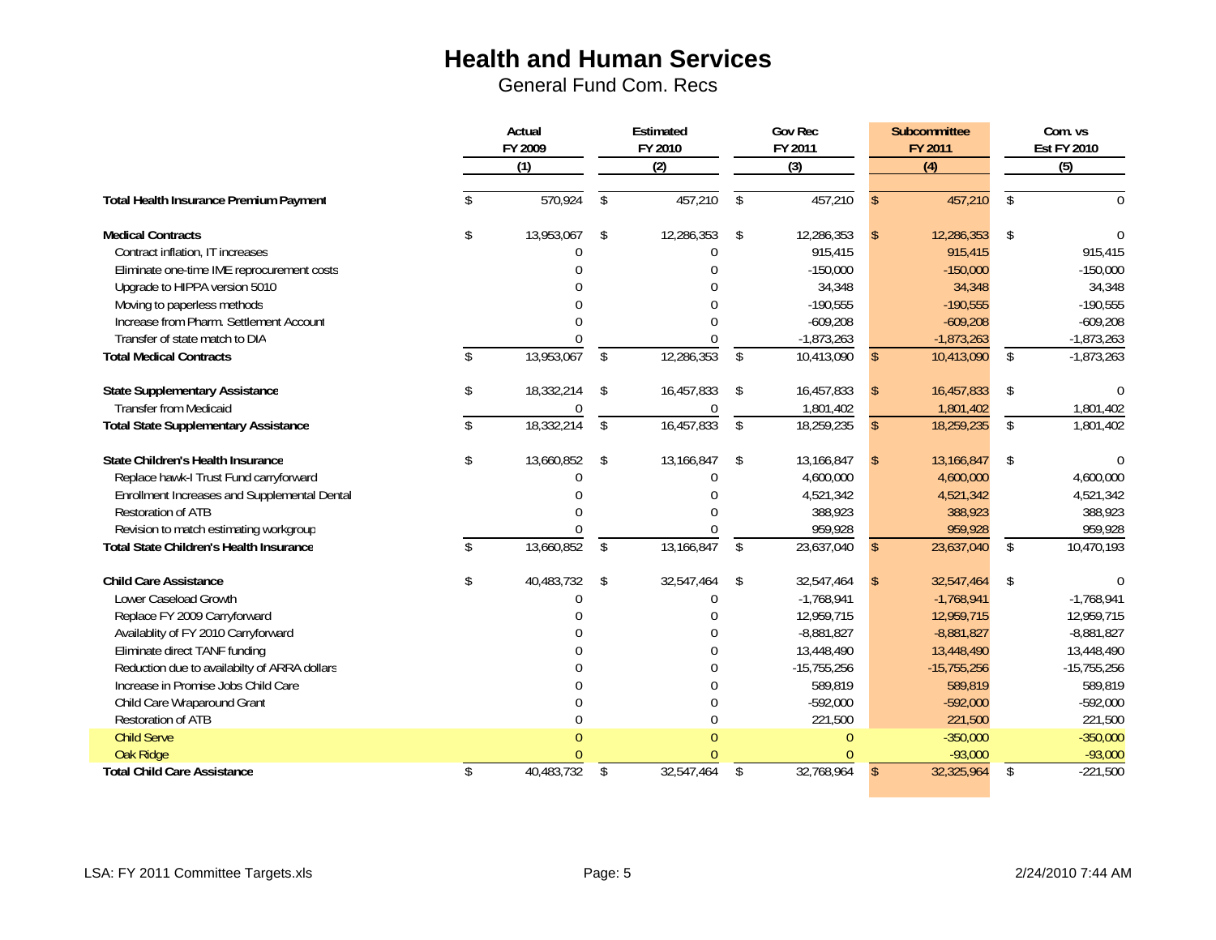|                                                |               | Actual<br>FY 2009 | Estimated<br>FY 2010    |              | <b>Gov Rec</b><br>FY 2011 |               | Subcommittee<br>FY 2011 |               | Com. vs<br><b>Est FY 2010</b> |  |
|------------------------------------------------|---------------|-------------------|-------------------------|--------------|---------------------------|---------------|-------------------------|---------------|-------------------------------|--|
|                                                |               | (1)               |                         | (2)          |                           | (3)           |                         | (4)           | (5)                           |  |
| Total Health Insurance Premium Payment         |               | 570,924           | \$                      | 457,210      | \$                        | 457,210       | <sup>\$</sup>           | 457,210       | \$<br>$\Omega$                |  |
| <b>Medical Contracts</b>                       | \$            | 13,953,067        | \$                      | 12,286,353   | \$                        | 12,286,353    |                         | 12,286,353    | \$                            |  |
| Contract inflation, IT increases               |               |                   |                         | <sup>0</sup> |                           | 915,415       |                         | 915,415       | 915,415                       |  |
| Eliminate one-time IME reprocurement costs     |               |                   |                         |              |                           | $-150,000$    |                         | $-150,000$    | $-150,000$                    |  |
| Upgrade to HIPPA version 5010                  |               |                   |                         |              |                           | 34,348        |                         | 34,348        | 34,348                        |  |
| Moving to paperless methods                    |               |                   |                         |              |                           | $-190,555$    |                         | $-190,555$    | $-190,555$                    |  |
| Increase from Pharm. Settlement Account        |               |                   |                         |              |                           | $-609,208$    |                         | $-609,208$    | $-609,208$                    |  |
| Transfer of state match to DIA                 |               |                   |                         |              |                           | $-1,873,263$  |                         | $-1,873,263$  | $-1,873,263$                  |  |
| <b>Total Medical Contracts</b>                 | \$            | 13,953,067        | $\mathbf{\hat{S}}$      | 12,286,353   | \$                        | 10,413,090    | $\mathbf{\hat{S}}$      | 10,413,090    | \$<br>$-1,873,263$            |  |
| <b>State Supplementary Assistance</b>          | \$            | 18,332,214        | \$                      | 16,457,833   | \$                        | 16,457,833    |                         | 16,457,833    | \$                            |  |
| <b>Transfer from Medicaid</b>                  |               |                   |                         |              |                           | 1,801,402     |                         | 1,801,402     | 1,801,402                     |  |
| <b>Total State Supplementary Assistance</b>    | $\mathcal{S}$ | 18,332,214        | $\sqrt[6]{\frac{1}{2}}$ | 16,457,833   | $\mathbf{\hat{S}}$        | 18,259,235    | $\mathcal{S}$           | 18,259,235    | \$<br>1,801,402               |  |
| State Children's Health Insurance              | \$            | 13,660,852        | \$                      | 13,166,847   | \$                        | 13,166,847    |                         | 13,166,847    | \$                            |  |
| Replace hawk-I Trust Fund carryforward         |               |                   |                         | $\Omega$     |                           | 4,600,000     |                         | 4,600,000     | 4,600,000                     |  |
| Enrollment Increases and Supplemental Dental   |               |                   |                         |              |                           | 4,521,342     |                         | 4,521,342     | 4,521,342                     |  |
| Restoration of ATB                             |               |                   |                         |              |                           | 388,923       |                         | 388,923       | 388,923                       |  |
| Revision to match estimating workgroup         |               |                   |                         |              |                           | 959,928       |                         | 959,928       | 959,928                       |  |
| <b>Total State Children's Health Insurance</b> | \$            | 13,660,852        | $\mathfrak{L}$          | 13,166,847   | $\mathbf{\hat{S}}$        | 23,637,040    | <sup>\$</sup>           | 23,637,040    | \$<br>10,470,193              |  |
| <b>Child Care Assistance</b>                   | \$            | 40,483,732        | \$                      | 32,547,464   | \$                        | 32,547,464    |                         | 32,547,464    | \$                            |  |
| Lower Caseload Growth                          |               |                   |                         | $\Omega$     |                           | $-1,768,941$  |                         | $-1,768,941$  | $-1,768,941$                  |  |
| Replace FY 2009 Carryforward                   |               |                   |                         |              |                           | 12,959,715    |                         | 12,959,715    | 12,959,715                    |  |
| Availablity of FY 2010 Carryforward            |               |                   |                         |              |                           | $-8,881,827$  |                         | $-8,881,827$  | $-8,881,827$                  |  |
| Eliminate direct TANF funding                  |               |                   |                         |              |                           | 13,448,490    |                         | 13,448,490    | 13,448,490                    |  |
| Reduction due to availabilty of ARRA dollars   |               |                   |                         |              |                           | $-15,755,256$ |                         | $-15,755,256$ | $-15,755,256$                 |  |
| Increase in Promise Jobs Child Care            |               |                   |                         |              |                           | 589,819       |                         | 589,819       | 589,819                       |  |
| Child Care Wraparound Grant                    |               |                   |                         |              |                           | $-592,000$    |                         | $-592,000$    | $-592,000$                    |  |
| Restoration of ATB                             |               |                   |                         | $\mathbf{0}$ |                           | 221,500       |                         | 221,500       | 221,500                       |  |
| <b>Child Serve</b>                             |               |                   |                         |              |                           | $\Omega$      |                         | $-350,000$    | $-350,000$                    |  |
| Oak Ridge                                      |               |                   |                         |              |                           |               |                         | $-93,000$     | $-93,000$                     |  |
| <b>Total Child Care Assistance</b>             | \$            | 40,483,732        | \$                      | 32,547,464   | \$                        | 32,768,964    | $\mathsf{\$}$           | 32,325,964    | \$<br>$-221,500$              |  |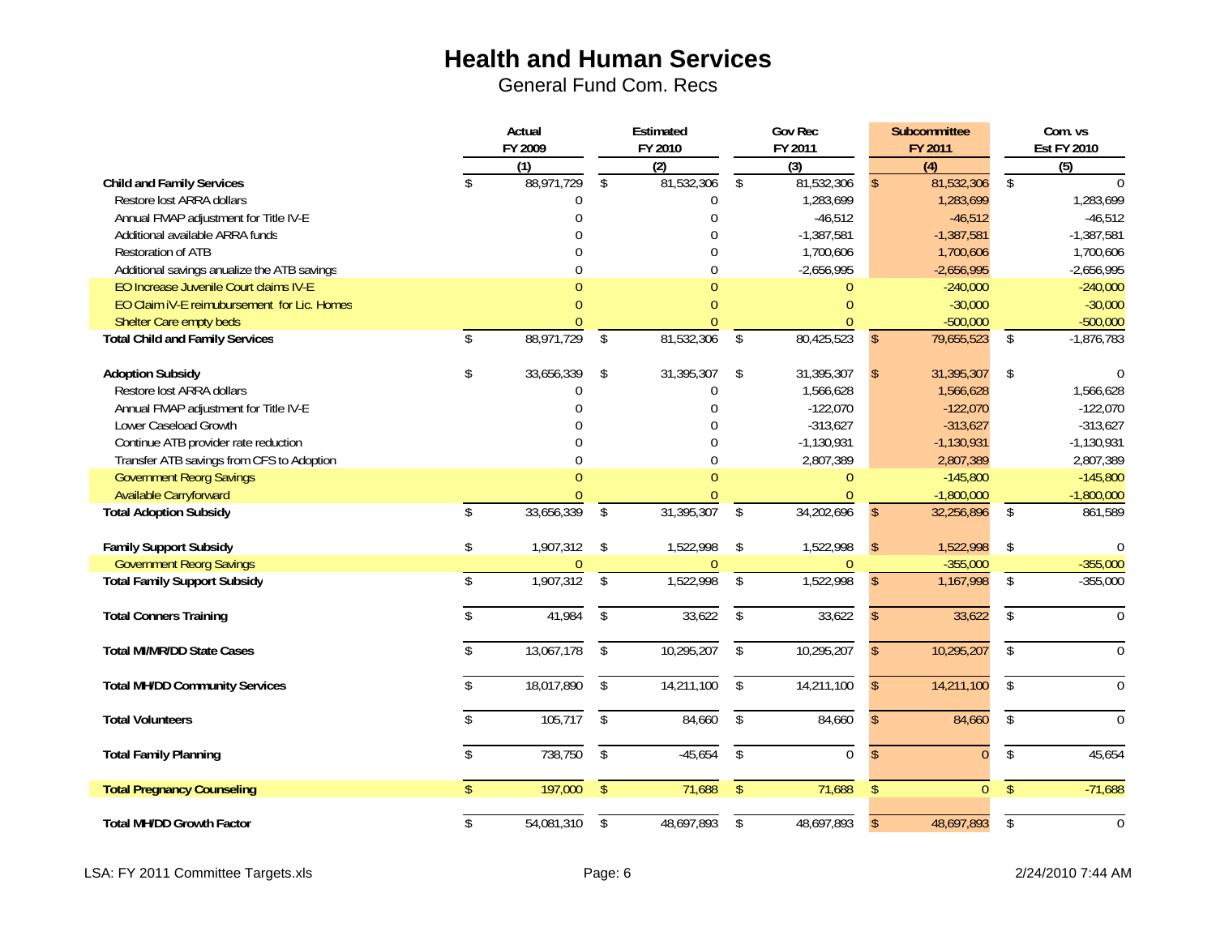General Fund Com. Recs

|                                             | Actual        |                   | Estimated               |                                | <b>Gov Rec</b>          |                   |               | <b>Subcommittee</b>            |                 | Com. vs                      |
|---------------------------------------------|---------------|-------------------|-------------------------|--------------------------------|-------------------------|-------------------|---------------|--------------------------------|-----------------|------------------------------|
|                                             |               | FY 2009           |                         | FY 2010                        |                         | FY 2011           |               | FY 2011                        |                 | <b>Est FY 2010</b>           |
| <b>Child and Family Services</b>            |               | (1)<br>88,971,729 | \$                      | $\overline{(2)}$<br>81,532,306 | \$                      | (3)<br>81,532,306 |               | $\overline{(4)}$<br>81,532,306 | \$              | $\overline{(5)}$<br>$\Omega$ |
| Restore lost ARRA dollars                   |               | $\overline{0}$    |                         | $\theta$                       |                         | 1,283,699         |               | 1,283,699                      |                 | 1,283,699                    |
| Annual FMAP adjustment for Title IV-E       |               | $\theta$          |                         | $\Omega$                       |                         | $-46,512$         |               | $-46,512$                      |                 | $-46,512$                    |
| Additional available ARRA funds             |               |                   |                         | $\Omega$                       |                         | $-1,387,581$      |               | $-1,387,581$                   |                 | $-1,387,581$                 |
| Restoration of ATB                          |               |                   |                         | $\Omega$                       |                         |                   |               |                                |                 |                              |
|                                             |               |                   |                         |                                |                         | 1,700,606         |               | 1,700,606                      |                 | 1,700,606                    |
| Additional savings anualize the ATB savings |               | 0                 |                         |                                |                         | $-2,656,995$      |               | $-2,656,995$                   |                 | $-2,656,995$                 |
| EO Increase Juvenile Court claims IV-E      |               |                   |                         |                                |                         | $\theta$          |               | $-240,000$                     |                 | $-240,000$                   |
| EO Claim IV-E reimubursement for Lic. Homes |               | N                 |                         |                                |                         | $\overline{0}$    |               | $-30,000$                      |                 | $-30,000$                    |
| Shelter Care empty beds                     |               |                   |                         |                                |                         | $\Omega$          |               | $-500,000$                     |                 | $-500,000$                   |
| <b>Total Child and Family Services</b>      | $\mathcal{S}$ | 88,971,729        | $\mathfrak{L}$          | 81,532,306                     | $\mathbb{S}$            | 80,425,523        | $\mathbb{S}$  | 79,655,523                     | \$              | $-1,876,783$                 |
| <b>Adoption Subsidy</b>                     | \$            | 33,656,339        | \$                      | 31,395,307                     | \$                      | 31,395,307        |               | 31,395,307                     | \$              |                              |
| Restore lost ARRA dollars                   |               | 0                 |                         | $\mathbf 0$                    |                         | 1,566,628         |               | 1,566,628                      |                 | 1,566,628                    |
| Annual FMAP adjustment for Title IV-E       |               | $\theta$          |                         | $\theta$                       |                         | $-122,070$        |               | $-122,070$                     |                 | $-122,070$                   |
| Lower Caseload Growth                       |               | $\Omega$          |                         | $\cap$                         |                         | $-313,627$        |               | $-313,627$                     |                 | $-313,627$                   |
| Continue ATB provider rate reduction        |               |                   |                         |                                |                         | $-1,130,931$      |               | $-1,130,931$                   |                 | $-1,130,931$                 |
| Transfer ATB savings from CFS to Adoption   |               | U                 |                         | $\Omega$                       |                         | 2,807,389         |               | 2,807,389                      |                 | 2,807,389                    |
| <b>Government Reorg Savings</b>             |               |                   |                         |                                |                         | $\theta$          |               | $-145,800$                     |                 | $-145,800$                   |
| <b>Available Carryforward</b>               |               |                   |                         |                                |                         | $\theta$          |               | $-1,800,000$                   |                 | $-1,800,000$                 |
| <b>Total Adoption Subsidy</b>               | $\mathbb{S}$  | 33,656,339        | $\mathfrak{L}$          | 31,395,307                     | $\mathcal{S}$           | 34,202,696        | $\mathbb{S}$  | 32,256,896                     | \$              | 861,589                      |
| <b>Family Support Subsidy</b>               | \$            | 1,907,312         | $\mathcal{L}$           | 1,522,998                      | \$                      | 1,522,998         | \$            | 1,522,998                      | \$              | $\Omega$                     |
| <b>Government Reorg Savings</b>             |               |                   |                         |                                |                         | $\Omega$          |               | $-355,000$                     |                 | $-355,000$                   |
| <b>Total Family Support Subsidy</b>         | $\mathbb{S}$  | 1,907,312         | $\sqrt[6]{\frac{1}{2}}$ | 1,522,998                      | $\sqrt[6]{\frac{1}{2}}$ | 1,522,998         | $\mathsf{\$}$ | 1,167,998                      | \$              | $-355,000$                   |
| <b>Total Conners Training</b>               | \$            | 41,984            | $\mathfrak{L}$          | 33,622                         | $\mathbb{S}$            | 33,622            | $\mathcal{S}$ | 33,622                         | \$              | $\Omega$                     |
| <b>Total MI/MR/DD State Cases</b>           |               | 13,067,178        | $\mathfrak{L}$          | 10,295,207                     | $\mathsf S$             | 10,295,207        | $\mathcal{S}$ | 10,295,207                     | $\mathsf{\$}$   | $\Omega$                     |
| <b>Total MH/DD Community Services</b>       |               | 18,017,890        | $\sqrt{2}$              | 14,211,100                     | $\sqrt[6]{\frac{1}{2}}$ | 14,211,100        | $\mathbb{S}$  | 14,211,100                     | \$              | $\Omega$                     |
| <b>Total Volunteers</b>                     |               | 105,717           | $\mathcal{L}$           | 84,660                         | $\mathbb{S}$            | 84,660            | $\mathcal{S}$ | 84,660                         | \$              | $\Omega$                     |
| <b>Total Family Planning</b>                |               | 738,750           | $\sqrt{2}$              | $-45,654$                      | $\mathbb{S}$            | $\overline{0}$    | $\mathcal{S}$ | $\Omega$                       | $\overline{\$}$ | 45,654                       |
| <b>Total Pregnancy Counseling</b>           |               | 197,000           | $\mathbf{\hat{S}}$      | 71,688                         | $\sqrt$                 | 71,688            | $\mathsf{\$}$ | $\Omega$                       | $\mathsf{\$}$   | $-71,688$                    |
| <b>Total MH/DD Growth Factor</b>            | \$            | 54,081,310        | \$                      | 48,697,893                     | \$                      | 48,697,893        | $\mathbb{S}$  | 48,697,893                     | \$              | $\Omega$                     |

LSA: FY 2011 Committee Targets.xls extending the committee of the Page: 6 2/24/2010 7:44 AM